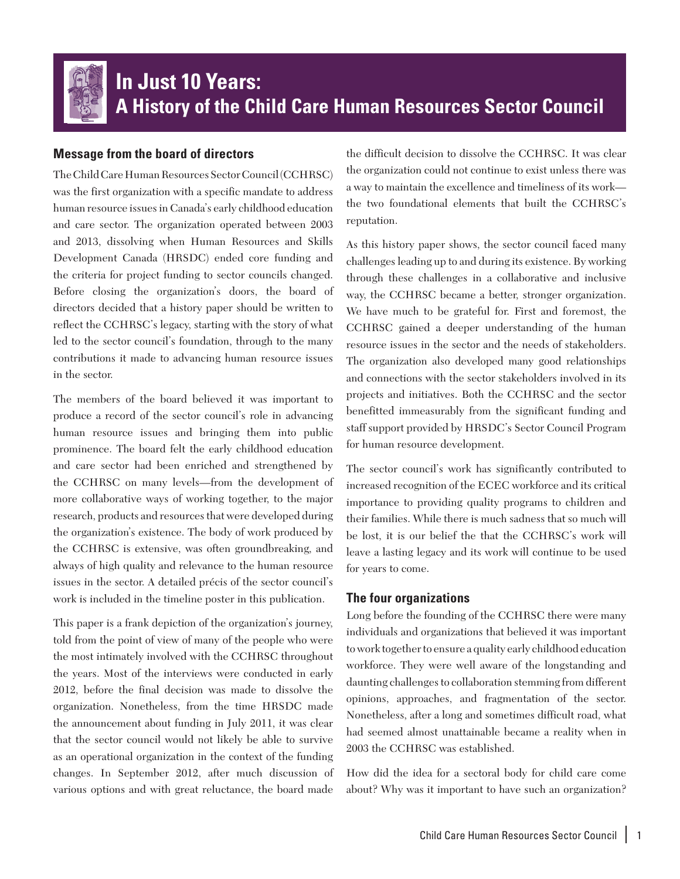

# **In Just 10 Years: A History of the Child Care Human Resources Sector Council**

# **Message from the board of directors**

The Child Care Human Resources Sector Council (CCHRSC) was the first organization with a specific mandate to address human resource issues in Canada's early childhood education and care sector. The organization operated between 2003 and 2013, dissolving when Human Resources and Skills Development Canada (HRSDC) ended core funding and the criteria for project funding to sector councils changed. Before closing the organization's doors, the board of directors decided that a history paper should be written to reflect the CCHRSC's legacy, starting with the story of what led to the sector council's foundation, through to the many contributions it made to advancing human resource issues in the sector.

The members of the board believed it was important to produce a record of the sector council's role in advancing human resource issues and bringing them into public prominence. The board felt the early childhood education and care sector had been enriched and strengthened by the CCHRSC on many levels—from the development of more collaborative ways of working together, to the major research, products and resources that were developed during the organization's existence. The body of work produced by the CCHRSC is extensive, was often groundbreaking, and always of high quality and relevance to the human resource issues in the sector. A detailed précis of the sector council's work is included in the timeline poster in this publication.

This paper is a frank depiction of the organization's journey, told from the point of view of many of the people who were the most intimately involved with the CCHRSC throughout the years. Most of the interviews were conducted in early 2012, before the final decision was made to dissolve the organization. Nonetheless, from the time HRSDC made the announcement about funding in July 2011, it was clear that the sector council would not likely be able to survive as an operational organization in the context of the funding changes. In September 2012, after much discussion of various options and with great reluctance, the board made

the difficult decision to dissolve the CCHRSC. It was clear the organization could not continue to exist unless there was a way to maintain the excellence and timeliness of its work the two foundational elements that built the CCHRSC's reputation.

As this history paper shows, the sector council faced many challenges leading up to and during its existence. By working through these challenges in a collaborative and inclusive way, the CCHRSC became a better, stronger organization. We have much to be grateful for. First and foremost, the CCHRSC gained a deeper understanding of the human resource issues in the sector and the needs of stakeholders. The organization also developed many good relationships and connections with the sector stakeholders involved in its projects and initiatives. Both the CCHRSC and the sector benefitted immeasurably from the significant funding and staff support provided by HRSDC's Sector Council Program for human resource development.

The sector council's work has significantly contributed to increased recognition of the ECEC workforce and its critical importance to providing quality programs to children and their families. While there is much sadness that so much will be lost, it is our belief the that the CCHRSC's work will leave a lasting legacy and its work will continue to be used for years to come.

# **The four organizations**

Long before the founding of the CCHRSC there were many individuals and organizations that believed it was important to work together to ensure a quality early childhood education workforce. They were well aware of the longstanding and daunting challenges to collaboration stemming from different opinions, approaches, and fragmentation of the sector. Nonetheless, after a long and sometimes difficult road, what had seemed almost unattainable became a reality when in 2003 the CCHRSC was established.

How did the idea for a sectoral body for child care come about? Why was it important to have such an organization?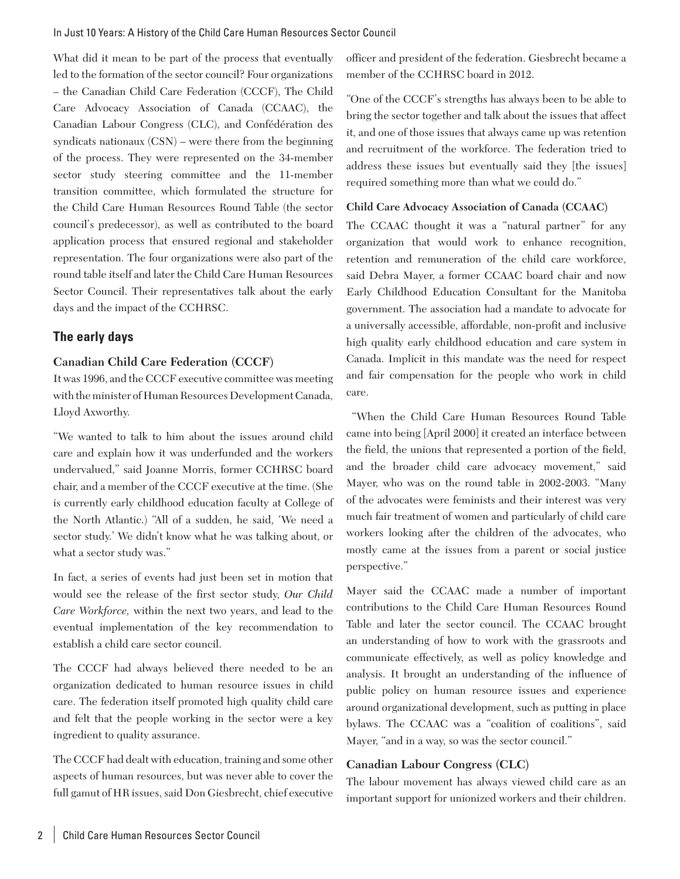What did it mean to be part of the process that eventually led to the formation of the sector council? Four organizations – the Canadian Child Care Federation (CCCF), The Child Care Advocacy Association of Canada (CCAAC), the Canadian Labour Congress (CLC), and Confédération des syndicats nationaux (CSN) – were there from the beginning of the process. They were represented on the 34-member sector study steering committee and the 11-member transition committee, which formulated the structure for the Child Care Human Resources Round Table (the sector council's predecessor), as well as contributed to the board application process that ensured regional and stakeholder representation. The four organizations were also part of the round table itself and later the Child Care Human Resources Sector Council. Their representatives talk about the early days and the impact of the CCHRSC.

## **The early days**

#### **Canadian Child Care Federation (CCCF)**

It was 1996, and the CCCF executive committee was meeting with the minister of Human Resources Development Canada, Lloyd Axworthy.

"We wanted to talk to him about the issues around child care and explain how it was underfunded and the workers undervalued," said Joanne Morris, former CCHRSC board chair, and a member of the CCCF executive at the time. (She is currently early childhood education faculty at College of the North Atlantic.) "All of a sudden, he said, 'We need a sector study.' We didn't know what he was talking about, or what a sector study was."

In fact, a series of events had just been set in motion that would see the release of the first sector study, *Our Child Care Workforce,* within the next two years, and lead to the eventual implementation of the key recommendation to establish a child care sector council.

The CCCF had always believed there needed to be an organization dedicated to human resource issues in child care. The federation itself promoted high quality child care and felt that the people working in the sector were a key ingredient to quality assurance.

The CCCF had dealt with education, training and some other aspects of human resources, but was never able to cover the full gamut of HR issues, said Don Giesbrecht, chief executive officer and president of the federation. Giesbrecht became a member of the CCHRSC board in 2012.

"One of the CCCF's strengths has always been to be able to bring the sector together and talk about the issues that affect it, and one of those issues that always came up was retention and recruitment of the workforce. The federation tried to address these issues but eventually said they [the issues] required something more than what we could do."

#### **Child Care Advocacy Association of Canada (CCAAC)**

The CCAAC thought it was a "natural partner" for any organization that would work to enhance recognition, retention and remuneration of the child care workforce, said Debra Mayer, a former CCAAC board chair and now Early Childhood Education Consultant for the Manitoba government. The association had a mandate to advocate for a universally accessible, affordable, non-profit and inclusive high quality early childhood education and care system in Canada. Implicit in this mandate was the need for respect and fair compensation for the people who work in child care.

 "When the Child Care Human Resources Round Table came into being [April 2000] it created an interface between the field, the unions that represented a portion of the field, and the broader child care advocacy movement," said Mayer, who was on the round table in 2002-2003. "Many of the advocates were feminists and their interest was very much fair treatment of women and particularly of child care workers looking after the children of the advocates, who mostly came at the issues from a parent or social justice perspective."

Mayer said the CCAAC made a number of important contributions to the Child Care Human Resources Round Table and later the sector council. The CCAAC brought an understanding of how to work with the grassroots and communicate effectively, as well as policy knowledge and analysis. It brought an understanding of the influence of public policy on human resource issues and experience around organizational development, such as putting in place bylaws. The CCAAC was a "coalition of coalitions", said Mayer, "and in a way, so was the sector council."

#### **Canadian Labour Congress (CLC)**

The labour movement has always viewed child care as an important support for unionized workers and their children.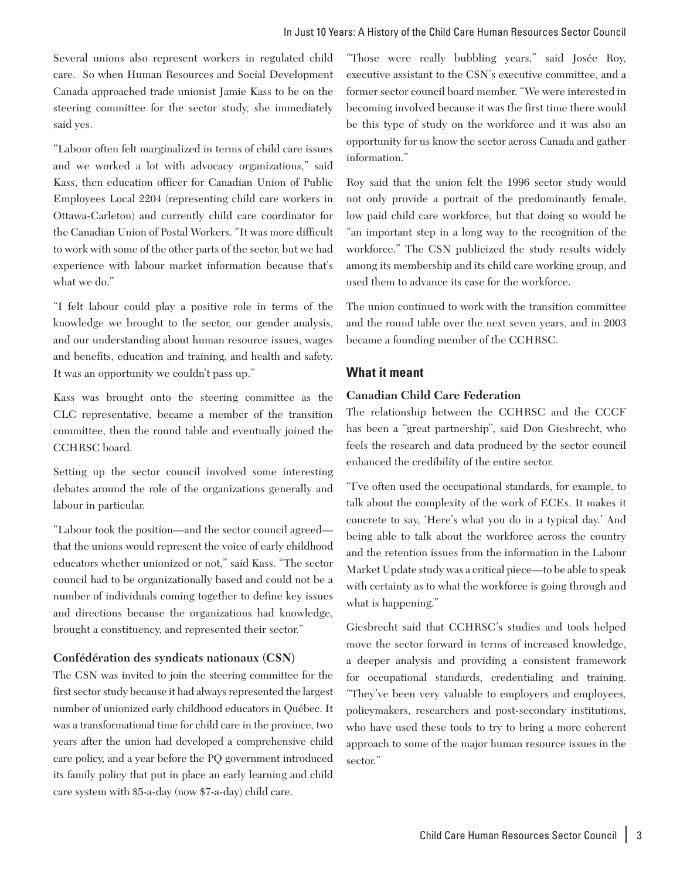Several unions also represent workers in regulated child care. So when Human Resources and Social Development Canada approached trade unionist Jamie Kass to be on the steering committee for the sector study, she immediately said yes.

"Labour often felt marginalized in terms of child care issues and we worked a lot with advocacy organizations," said Kass, then education officer for Canadian Union of Public Employees Local 2204 (representing child care workers in Ottawa-Carleton) and currently child care coordinator for the Canadian Union of Postal Workers. "It was more difficult to work with some of the other parts of the sector, but we had experience with labour market information because that's what we do."

"I felt labour could play a positive role in terms of the knowledge we brought to the sector, our gender analysis, and our understanding about human resource issues, wages and benefits, education and training, and health and safety. It was an opportunity we couldn't pass up."

Kass was brought onto the steering committee as the CLC representative, became a member of the transition committee, then the round table and eventually joined the CCHRSC board.

Setting up the sector council involved some interesting debates around the role of the organizations generally and labour in particular.

"Labour took the position—and the sector council agreed that the unions would represent the voice of early childhood educators whether unionized or not," said Kass. "The sector council had to be organizationally based and could not be a number of individuals coming together to define key issues and directions because the organizations had knowledge, brought a constituency, and represented their sector."

#### **Confédération des syndicats nationaux (CSN)**

The CSN was invited to join the steering committee for the first sector study because it had always represented the largest number of unionized early childhood educators in Québec. It was a transformational time for child care in the province, two years after the union had developed a comprehensive child care policy, and a year before the PQ government introduced its family policy that put in place an early learning and child care system with \$5-a-day (now \$7-a-day) child care.

"Those were really bubbling years," said Josée Roy, executive assistant to the CSN's executive committee, and a former sector council board member. "We were interested in becoming involved because it was the first time there would be this type of study on the workforce and it was also an opportunity for us know the sector across Canada and gather information."

Roy said that the union felt the 1996 sector study would not only provide a portrait of the predominantly female, low paid child care workforce, but that doing so would be "an important step in a long way to the recognition of the workforce." The CSN publicized the study results widely among its membership and its child care working group, and used them to advance its case for the workforce.

The union continued to work with the transition committee and the round table over the next seven years, and in 2003 became a founding member of the CCHRSC.

#### **What it meant**

#### **Canadian Child Care Federation**

The relationship between the CCHRSC and the CCCF has been a "great partnership", said Don Giesbrecht, who feels the research and data produced by the sector council enhanced the credibility of the entire sector.

"I've often used the occupational standards, for example, to talk about the complexity of the work of ECEs. It makes it concrete to say, 'Here's what you do in a typical day.' And being able to talk about the workforce across the country and the retention issues from the information in the Labour Market Update study was a critical piece—to be able to speak with certainty as to what the workforce is going through and what is happening."

Giesbrecht said that CCHRSC's studies and tools helped move the sector forward in terms of increased knowledge, a deeper analysis and providing a consistent framework for occupational standards, credentialing and training. "They've been very valuable to employers and employees, policymakers, researchers and post-secondary institutions, who have used these tools to try to bring a more coherent approach to some of the major human resource issues in the sector."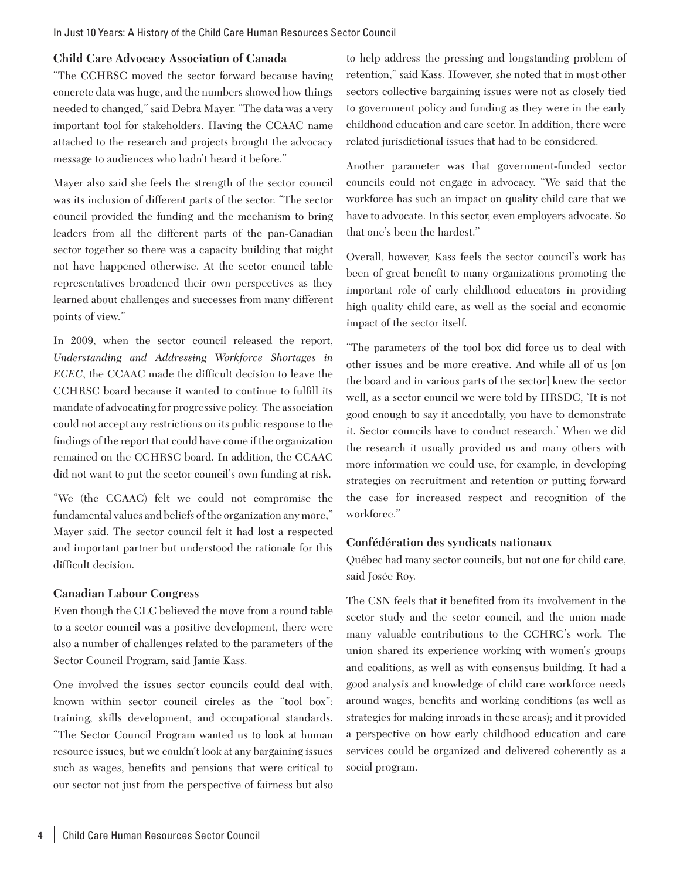## **Child Care Advocacy Association of Canada**

"The CCHRSC moved the sector forward because having concrete data was huge, and the numbers showed how things needed to changed," said Debra Mayer. "The data was a very important tool for stakeholders. Having the CCAAC name attached to the research and projects brought the advocacy message to audiences who hadn't heard it before."

Mayer also said she feels the strength of the sector council was its inclusion of different parts of the sector. "The sector council provided the funding and the mechanism to bring leaders from all the different parts of the pan-Canadian sector together so there was a capacity building that might not have happened otherwise. At the sector council table representatives broadened their own perspectives as they learned about challenges and successes from many different points of view."

In 2009, when the sector council released the report, *Understanding and Addressing Workforce Shortages in ECEC*, the CCAAC made the difficult decision to leave the CCHRSC board because it wanted to continue to fulfill its mandate of advocating for progressive policy. The association could not accept any restrictions on its public response to the findings of the report that could have come if the organization remained on the CCHRSC board. In addition, the CCAAC did not want to put the sector council's own funding at risk.

"We (the CCAAC) felt we could not compromise the fundamental values and beliefs of the organization any more," Mayer said. The sector council felt it had lost a respected and important partner but understood the rationale for this difficult decision.

## **Canadian Labour Congress**

Even though the CLC believed the move from a round table to a sector council was a positive development, there were also a number of challenges related to the parameters of the Sector Council Program, said Jamie Kass.

One involved the issues sector councils could deal with, known within sector council circles as the "tool box": training, skills development, and occupational standards. "The Sector Council Program wanted us to look at human resource issues, but we couldn't look at any bargaining issues such as wages, benefits and pensions that were critical to our sector not just from the perspective of fairness but also

to help address the pressing and longstanding problem of retention," said Kass. However, she noted that in most other sectors collective bargaining issues were not as closely tied to government policy and funding as they were in the early childhood education and care sector. In addition, there were related jurisdictional issues that had to be considered.

Another parameter was that government-funded sector councils could not engage in advocacy. "We said that the workforce has such an impact on quality child care that we have to advocate. In this sector, even employers advocate. So that one's been the hardest."

Overall, however, Kass feels the sector council's work has been of great benefit to many organizations promoting the important role of early childhood educators in providing high quality child care, as well as the social and economic impact of the sector itself.

"The parameters of the tool box did force us to deal with other issues and be more creative. And while all of us [on the board and in various parts of the sector] knew the sector well, as a sector council we were told by HRSDC, 'It is not good enough to say it anecdotally, you have to demonstrate it. Sector councils have to conduct research.' When we did the research it usually provided us and many others with more information we could use, for example, in developing strategies on recruitment and retention or putting forward the case for increased respect and recognition of the workforce."

## **Confédération des syndicats nationaux**

Québec had many sector councils, but not one for child care, said Josée Roy.

The CSN feels that it benefited from its involvement in the sector study and the sector council, and the union made many valuable contributions to the CCHRC's work. The union shared its experience working with women's groups and coalitions, as well as with consensus building. It had a good analysis and knowledge of child care workforce needs around wages, benefits and working conditions (as well as strategies for making inroads in these areas); and it provided a perspective on how early childhood education and care services could be organized and delivered coherently as a social program.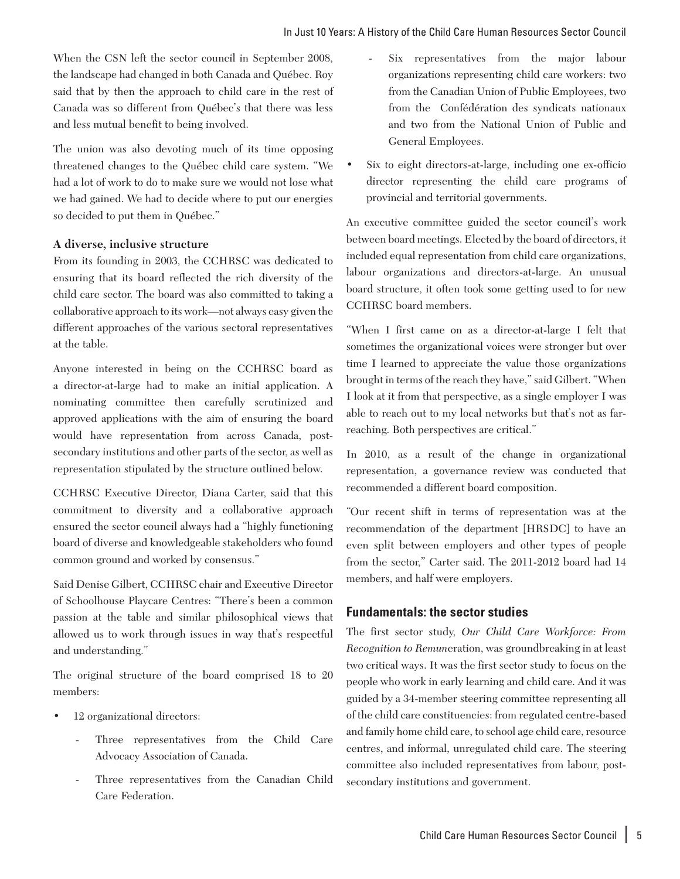When the CSN left the sector council in September 2008, the landscape had changed in both Canada and Québec. Roy said that by then the approach to child care in the rest of Canada was so different from Québec's that there was less and less mutual benefit to being involved.

The union was also devoting much of its time opposing threatened changes to the Québec child care system. "We had a lot of work to do to make sure we would not lose what we had gained. We had to decide where to put our energies so decided to put them in Québec."

## **A diverse, inclusive structure**

From its founding in 2003, the CCHRSC was dedicated to ensuring that its board reflected the rich diversity of the child care sector. The board was also committed to taking a collaborative approach to its work—not always easy given the different approaches of the various sectoral representatives at the table.

Anyone interested in being on the CCHRSC board as a director-at-large had to make an initial application. A nominating committee then carefully scrutinized and approved applications with the aim of ensuring the board would have representation from across Canada, postsecondary institutions and other parts of the sector, as well as representation stipulated by the structure outlined below.

CCHRSC Executive Director, Diana Carter, said that this commitment to diversity and a collaborative approach ensured the sector council always had a "highly functioning board of diverse and knowledgeable stakeholders who found common ground and worked by consensus."

Said Denise Gilbert, CCHRSC chair and Executive Director of Schoolhouse Playcare Centres: "There's been a common passion at the table and similar philosophical views that allowed us to work through issues in way that's respectful and understanding."

The original structure of the board comprised 18 to 20 members:

- 12 organizational directors:
	- Three representatives from the Child Care Advocacy Association of Canada.
	- Three representatives from the Canadian Child Care Federation.
- Six representatives from the major labour organizations representing child care workers: two from the Canadian Union of Public Employees, two from the Confédération des syndicats nationaux and two from the National Union of Public and General Employees.
- Six to eight directors-at-large, including one ex-officio director representing the child care programs of provincial and territorial governments.

An executive committee guided the sector council's work between board meetings. Elected by the board of directors, it included equal representation from child care organizations, labour organizations and directors-at-large. An unusual board structure, it often took some getting used to for new CCHRSC board members.

"When I first came on as a director-at-large I felt that sometimes the organizational voices were stronger but over time I learned to appreciate the value those organizations brought in terms of the reach they have," said Gilbert. "When I look at it from that perspective, as a single employer I was able to reach out to my local networks but that's not as farreaching. Both perspectives are critical."

In 2010, as a result of the change in organizational representation, a governance review was conducted that recommended a different board composition.

"Our recent shift in terms of representation was at the recommendation of the department [HRSDC] to have an even split between employers and other types of people from the sector," Carter said. The 2011-2012 board had 14 members, and half were employers.

# **Fundamentals: the sector studies**

The first sector study, *Our Child Care Workforce: From Recognition to Remun*eration, was groundbreaking in at least two critical ways. It was the first sector study to focus on the people who work in early learning and child care. And it was guided by a 34-member steering committee representing all of the child care constituencies: from regulated centre-based and family home child care, to school age child care, resource centres, and informal, unregulated child care. The steering committee also included representatives from labour, postsecondary institutions and government.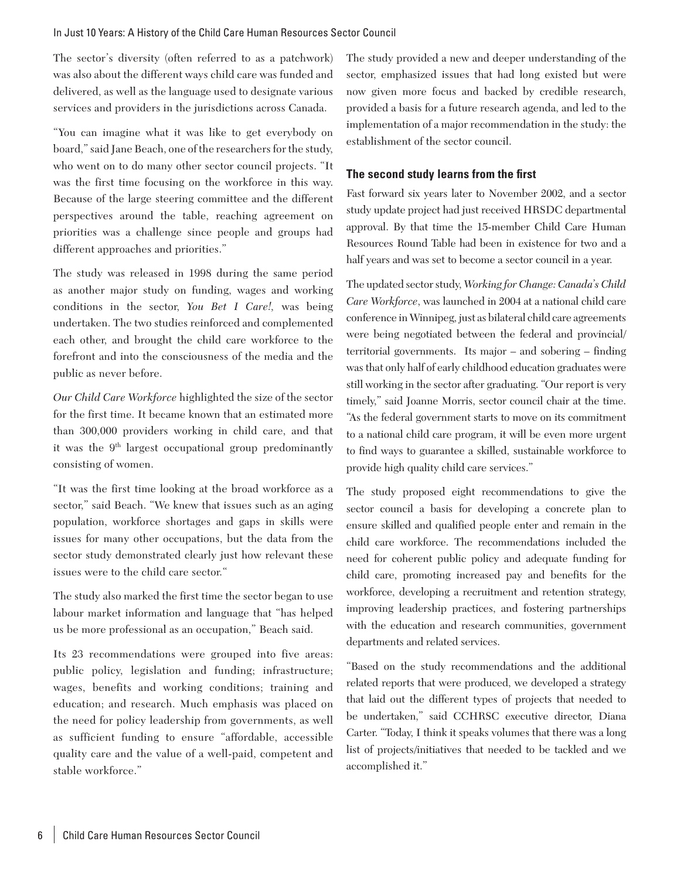#### In Just 10 Years: A History of the Child Care Human Resources Sector Council

The sector's diversity (often referred to as a patchwork) was also about the different ways child care was funded and delivered, as well as the language used to designate various services and providers in the jurisdictions across Canada.

"You can imagine what it was like to get everybody on board," said Jane Beach, one of the researchers for the study, who went on to do many other sector council projects. "It was the first time focusing on the workforce in this way. Because of the large steering committee and the different perspectives around the table, reaching agreement on priorities was a challenge since people and groups had different approaches and priorities."

The study was released in 1998 during the same period as another major study on funding, wages and working conditions in the sector, *You Bet I Care!,* was being undertaken. The two studies reinforced and complemented each other, and brought the child care workforce to the forefront and into the consciousness of the media and the public as never before.

*Our Child Care Workforce* highlighted the size of the sector for the first time. It became known that an estimated more than 300,000 providers working in child care, and that it was the  $9<sup>th</sup>$  largest occupational group predominantly consisting of women.

"It was the first time looking at the broad workforce as a sector," said Beach. "We knew that issues such as an aging population, workforce shortages and gaps in skills were issues for many other occupations, but the data from the sector study demonstrated clearly just how relevant these issues were to the child care sector."

The study also marked the first time the sector began to use labour market information and language that "has helped us be more professional as an occupation," Beach said.

Its 23 recommendations were grouped into five areas: public policy, legislation and funding; infrastructure; wages, benefits and working conditions; training and education; and research. Much emphasis was placed on the need for policy leadership from governments, as well as sufficient funding to ensure "affordable, accessible quality care and the value of a well-paid, competent and stable workforce."

The study provided a new and deeper understanding of the sector, emphasized issues that had long existed but were now given more focus and backed by credible research, provided a basis for a future research agenda, and led to the implementation of a major recommendation in the study: the establishment of the sector council.

## **The second study learns from the first**

Fast forward six years later to November 2002, and a sector study update project had just received HRSDC departmental approval. By that time the 15-member Child Care Human Resources Round Table had been in existence for two and a half years and was set to become a sector council in a year.

The updated sector study, *Working for Change: Canada's Child Care Workforce*, was launched in 2004 at a national child care conference in Winnipeg, just as bilateral child care agreements were being negotiated between the federal and provincial/ territorial governments. Its major – and sobering – finding was that only half of early childhood education graduates were still working in the sector after graduating. "Our report is very timely," said Joanne Morris, sector council chair at the time. "As the federal government starts to move on its commitment to a national child care program, it will be even more urgent to find ways to guarantee a skilled, sustainable workforce to provide high quality child care services."

The study proposed eight recommendations to give the sector council a basis for developing a concrete plan to ensure skilled and qualified people enter and remain in the child care workforce. The recommendations included the need for coherent public policy and adequate funding for child care, promoting increased pay and benefits for the workforce, developing a recruitment and retention strategy, improving leadership practices, and fostering partnerships with the education and research communities, government departments and related services.

"Based on the study recommendations and the additional related reports that were produced, we developed a strategy that laid out the different types of projects that needed to be undertaken," said CCHRSC executive director, Diana Carter. "Today, I think it speaks volumes that there was a long list of projects/initiatives that needed to be tackled and we accomplished it."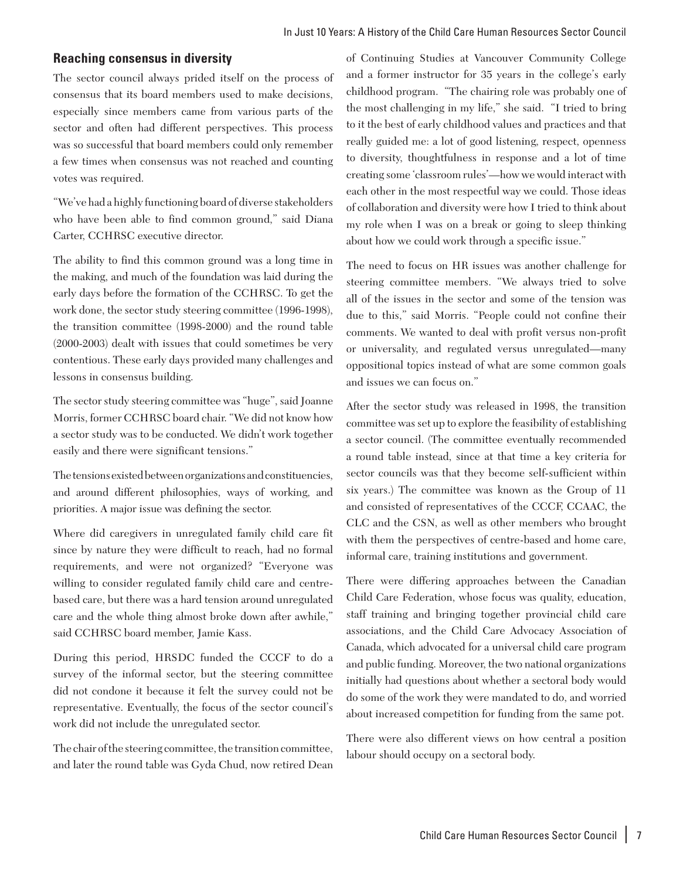#### **Reaching consensus in diversity**

The sector council always prided itself on the process of consensus that its board members used to make decisions, especially since members came from various parts of the sector and often had different perspectives. This process was so successful that board members could only remember a few times when consensus was not reached and counting votes was required.

"We've had a highly functioning board of diverse stakeholders who have been able to find common ground," said Diana Carter, CCHRSC executive director.

The ability to find this common ground was a long time in the making, and much of the foundation was laid during the early days before the formation of the CCHRSC. To get the work done, the sector study steering committee (1996-1998), the transition committee (1998-2000) and the round table (2000-2003) dealt with issues that could sometimes be very contentious. These early days provided many challenges and lessons in consensus building.

The sector study steering committee was "huge", said Joanne Morris, former CCHRSC board chair. "We did not know how a sector study was to be conducted. We didn't work together easily and there were significant tensions."

The tensions existed between organizations and constituencies, and around different philosophies, ways of working, and priorities. A major issue was defining the sector.

Where did caregivers in unregulated family child care fit since by nature they were difficult to reach, had no formal requirements, and were not organized? "Everyone was willing to consider regulated family child care and centrebased care, but there was a hard tension around unregulated care and the whole thing almost broke down after awhile," said CCHRSC board member, Jamie Kass.

During this period, HRSDC funded the CCCF to do a survey of the informal sector, but the steering committee did not condone it because it felt the survey could not be representative. Eventually, the focus of the sector council's work did not include the unregulated sector.

The chair of the steering committee, the transition committee, and later the round table was Gyda Chud, now retired Dean

of Continuing Studies at Vancouver Community College and a former instructor for 35 years in the college's early childhood program. "The chairing role was probably one of the most challenging in my life," she said. "I tried to bring to it the best of early childhood values and practices and that really guided me: a lot of good listening, respect, openness to diversity, thoughtfulness in response and a lot of time creating some 'classroom rules'—how we would interact with each other in the most respectful way we could. Those ideas of collaboration and diversity were how I tried to think about my role when I was on a break or going to sleep thinking about how we could work through a specific issue."

The need to focus on HR issues was another challenge for steering committee members. "We always tried to solve all of the issues in the sector and some of the tension was due to this," said Morris. "People could not confine their comments. We wanted to deal with profit versus non-profit or universality, and regulated versus unregulated—many oppositional topics instead of what are some common goals and issues we can focus on."

After the sector study was released in 1998, the transition committee was set up to explore the feasibility of establishing a sector council. (The committee eventually recommended a round table instead, since at that time a key criteria for sector councils was that they become self-sufficient within six years.) The committee was known as the Group of 11 and consisted of representatives of the CCCF, CCAAC, the CLC and the CSN, as well as other members who brought with them the perspectives of centre-based and home care, informal care, training institutions and government.

There were differing approaches between the Canadian Child Care Federation, whose focus was quality, education, staff training and bringing together provincial child care associations, and the Child Care Advocacy Association of Canada, which advocated for a universal child care program and public funding. Moreover, the two national organizations initially had questions about whether a sectoral body would do some of the work they were mandated to do, and worried about increased competition for funding from the same pot.

There were also different views on how central a position labour should occupy on a sectoral body.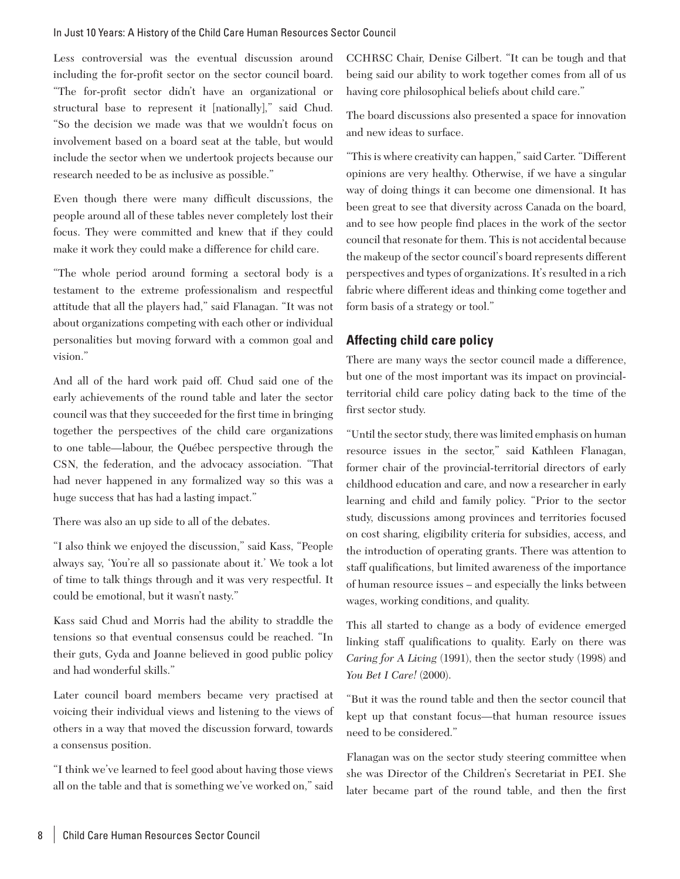Less controversial was the eventual discussion around including the for-profit sector on the sector council board. "The for-profit sector didn't have an organizational or structural base to represent it [nationally]," said Chud. "So the decision we made was that we wouldn't focus on involvement based on a board seat at the table, but would include the sector when we undertook projects because our research needed to be as inclusive as possible."

Even though there were many difficult discussions, the people around all of these tables never completely lost their focus. They were committed and knew that if they could make it work they could make a difference for child care.

"The whole period around forming a sectoral body is a testament to the extreme professionalism and respectful attitude that all the players had," said Flanagan. "It was not about organizations competing with each other or individual personalities but moving forward with a common goal and vision."

And all of the hard work paid off. Chud said one of the early achievements of the round table and later the sector council was that they succeeded for the first time in bringing together the perspectives of the child care organizations to one table—labour, the Québec perspective through the CSN, the federation, and the advocacy association. "That had never happened in any formalized way so this was a huge success that has had a lasting impact."

There was also an up side to all of the debates.

"I also think we enjoyed the discussion," said Kass, "People always say, 'You're all so passionate about it.' We took a lot of time to talk things through and it was very respectful. It could be emotional, but it wasn't nasty."

Kass said Chud and Morris had the ability to straddle the tensions so that eventual consensus could be reached. "In their guts, Gyda and Joanne believed in good public policy and had wonderful skills."

Later council board members became very practised at voicing their individual views and listening to the views of others in a way that moved the discussion forward, towards a consensus position.

"I think we've learned to feel good about having those views all on the table and that is something we've worked on," said CCHRSC Chair, Denise Gilbert. "It can be tough and that being said our ability to work together comes from all of us having core philosophical beliefs about child care."

The board discussions also presented a space for innovation and new ideas to surface.

"This is where creativity can happen," said Carter. "Different opinions are very healthy. Otherwise, if we have a singular way of doing things it can become one dimensional. It has been great to see that diversity across Canada on the board, and to see how people find places in the work of the sector council that resonate for them. This is not accidental because the makeup of the sector council's board represents different perspectives and types of organizations. It's resulted in a rich fabric where different ideas and thinking come together and form basis of a strategy or tool."

# **Affecting child care policy**

There are many ways the sector council made a difference, but one of the most important was its impact on provincialterritorial child care policy dating back to the time of the first sector study.

"Until the sector study, there was limited emphasis on human resource issues in the sector," said Kathleen Flanagan, former chair of the provincial-territorial directors of early childhood education and care, and now a researcher in early learning and child and family policy. "Prior to the sector study, discussions among provinces and territories focused on cost sharing, eligibility criteria for subsidies, access, and the introduction of operating grants. There was attention to staff qualifications, but limited awareness of the importance of human resource issues – and especially the links between wages, working conditions, and quality.

This all started to change as a body of evidence emerged linking staff qualifications to quality. Early on there was *Caring for A Living* (1991), then the sector study (1998) and *You Bet I Care!* (2000).

"But it was the round table and then the sector council that kept up that constant focus—that human resource issues need to be considered."

Flanagan was on the sector study steering committee when she was Director of the Children's Secretariat in PEI. She later became part of the round table, and then the first